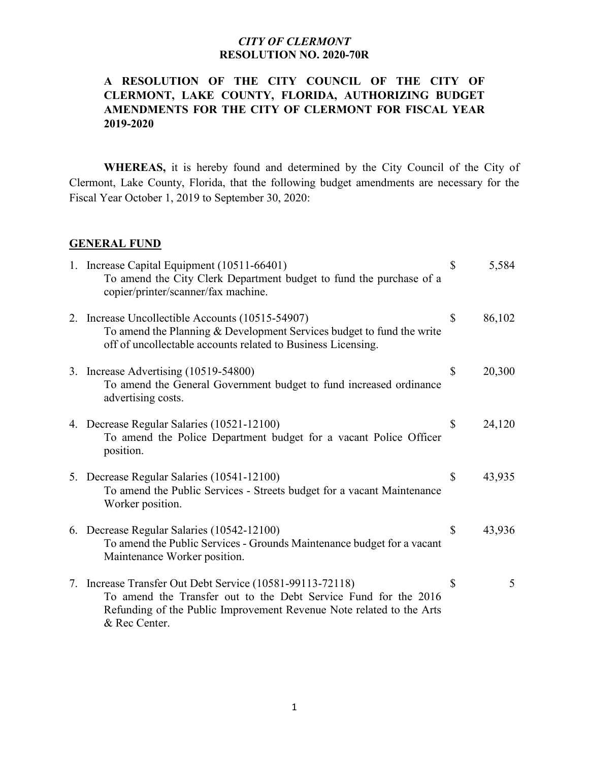#### *CITY OF CLERMONT* **RESOLUTION NO. 2020-70R**

# **A RESOLUTION OF THE CITY COUNCIL OF THE CITY OF CLERMONT, LAKE COUNTY, FLORIDA, AUTHORIZING BUDGET AMENDMENTS FOR THE CITY OF CLERMONT FOR FISCAL YEAR 2019-2020**

**WHEREAS,** it is hereby found and determined by the City Council of the City of Clermont, Lake County, Florida, that the following budget amendments are necessary for the Fiscal Year October 1, 2019 to September 30, 2020:

#### **GENERAL FUND**

| 1. Increase Capital Equipment (10511-66401)<br>To amend the City Clerk Department budget to fund the purchase of a<br>copier/printer/scanner/fax machine.                                                             | $\mathbb{S}$ | 5,584  |
|-----------------------------------------------------------------------------------------------------------------------------------------------------------------------------------------------------------------------|--------------|--------|
| 2. Increase Uncollectible Accounts (10515-54907)<br>To amend the Planning & Development Services budget to fund the write<br>off of uncollectable accounts related to Business Licensing.                             | $\mathbb{S}$ | 86,102 |
| 3. Increase Advertising (10519-54800)<br>To amend the General Government budget to fund increased ordinance<br>advertising costs.                                                                                     | $\mathbb{S}$ | 20,300 |
| 4. Decrease Regular Salaries (10521-12100)<br>To amend the Police Department budget for a vacant Police Officer<br>position.                                                                                          | $\mathbb{S}$ | 24,120 |
| 5. Decrease Regular Salaries (10541-12100)<br>To amend the Public Services - Streets budget for a vacant Maintenance<br>Worker position.                                                                              | \$           | 43,935 |
| 6. Decrease Regular Salaries (10542-12100)<br>To amend the Public Services - Grounds Maintenance budget for a vacant<br>Maintenance Worker position.                                                                  | \$           | 43,936 |
| 7. Increase Transfer Out Debt Service (10581-99113-72118)<br>To amend the Transfer out to the Debt Service Fund for the 2016<br>Refunding of the Public Improvement Revenue Note related to the Arts<br>& Rec Center. | \$           | 5      |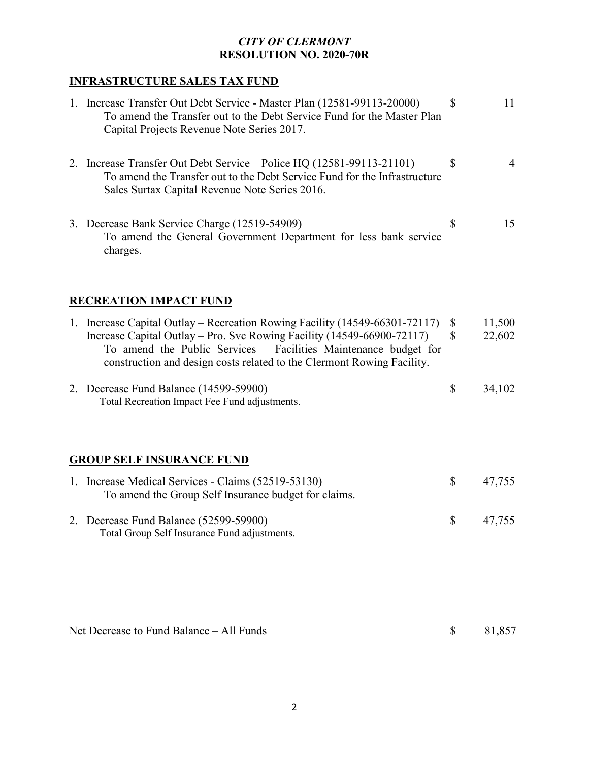# *CITY OF CLERMONT* **RESOLUTION NO. 2020-70R**

# **INFRASTRUCTURE SALES TAX FUND**

|                                          | 1. Increase Transfer Out Debt Service - Master Plan (12581-99113-20000)<br>To amend the Transfer out to the Debt Service Fund for the Master Plan<br>Capital Projects Revenue Note Series 2017.                                                                                                     | S                  | 11               |  |  |  |
|------------------------------------------|-----------------------------------------------------------------------------------------------------------------------------------------------------------------------------------------------------------------------------------------------------------------------------------------------------|--------------------|------------------|--|--|--|
|                                          | 2. Increase Transfer Out Debt Service – Police HQ (12581-99113-21101)<br>To amend the Transfer out to the Debt Service Fund for the Infrastructure<br>Sales Surtax Capital Revenue Note Series 2016.                                                                                                | \$                 | $\overline{4}$   |  |  |  |
|                                          | 3. Decrease Bank Service Charge (12519-54909)<br>To amend the General Government Department for less bank service<br>charges.                                                                                                                                                                       | \$                 | 15               |  |  |  |
|                                          | <b>RECREATION IMPACT FUND</b>                                                                                                                                                                                                                                                                       |                    |                  |  |  |  |
|                                          | 1. Increase Capital Outlay – Recreation Rowing Facility (14549-66301-72117)<br>Increase Capital Outlay – Pro. Svc Rowing Facility (14549-66900-72117)<br>To amend the Public Services - Facilities Maintenance budget for<br>construction and design costs related to the Clermont Rowing Facility. | \$<br>$\mathbb{S}$ | 11,500<br>22,602 |  |  |  |
|                                          | 2. Decrease Fund Balance (14599-59900)<br>Total Recreation Impact Fee Fund adjustments.                                                                                                                                                                                                             | \$                 | 34,102           |  |  |  |
|                                          | <b>GROUP SELF INSURANCE FUND</b>                                                                                                                                                                                                                                                                    |                    |                  |  |  |  |
|                                          | 1. Increase Medical Services - Claims (52519-53130)<br>To amend the Group Self Insurance budget for claims.                                                                                                                                                                                         | \$                 | 47,755           |  |  |  |
|                                          | 2. Decrease Fund Balance (52599-59900)<br>Total Group Self Insurance Fund adjustments.                                                                                                                                                                                                              | \$                 | 47,755           |  |  |  |
| Net Decrease to Fund Balance - All Funds |                                                                                                                                                                                                                                                                                                     | \$                 | 81,857           |  |  |  |